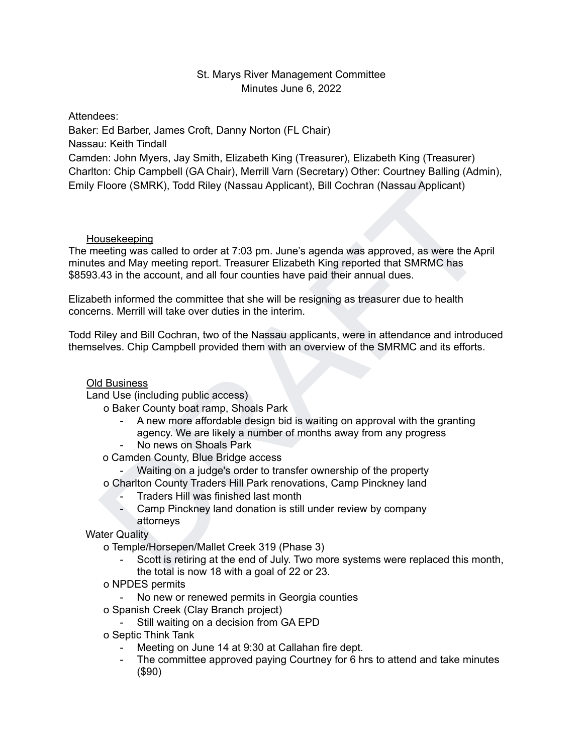# St. Marys River Management Committee Minutes June 6, 2022

Attendees:

Baker: Ed Barber, James Croft, Danny Norton (FL Chair) Nassau: Keith Tindall Camden: John Myers, Jay Smith, Elizabeth King (Treasurer), Elizabeth King (Treasurer) Charlton: Chip Campbell (GA Chair), Merrill Varn (Secretary) Other: Courtney Balling (Admin), Emily Floore (SMRK), Todd Riley (Nassau Applicant), Bill Cochran (Nassau Applicant)

**Housekeeping** 

Floore (SMRK), Todd Riley (Nassau Applicant), Bill Cochran (Nassau Applicant)<br>
susckeeping<br>
susckeeping<br>
eatled to order at 7:03 pm. June's agenda was approved, as were the April<br>
or says and May meeting report. Treasurer The meeting was called to order at 7:03 pm. June's agenda was approved, as were the April minutes and May meeting report. Treasurer Elizabeth King reported that SMRMC has \$8593.43 in the account, and all four counties have paid their annual dues.

Elizabeth informed the committee that she will be resigning as treasurer due to health concerns. Merrill will take over duties in the interim.

Todd Riley and Bill Cochran, two of the Nassau applicants, were in attendance and introduced themselves. Chip Campbell provided them with an overview of the SMRMC and its efforts.

## Old Business

Land Use (including public access)

o Baker County boat ramp, Shoals Park

- A new more affordable design bid is waiting on approval with the granting agency. We are likely a number of months away from any progress
- No news on Shoals Park
- o Camden County, Blue Bridge access

- Waiting on a judge's order to transfer ownership of the property

o Charlton County Traders Hill Park renovations, Camp Pinckney land

- Traders Hill was finished last month
- Camp Pinckney land donation is still under review by company attorneys

Water Quality

o Temple/Horsepen/Mallet Creek 319 (Phase 3)

- Scott is retiring at the end of July. Two more systems were replaced this month, the total is now 18 with a goal of 22 or 23.
- o NPDES permits

- No new or renewed permits in Georgia counties

- o Spanish Creek (Clay Branch project)
	- Still waiting on a decision from GA EPD
- o Septic Think Tank
	- Meeting on June 14 at 9:30 at Callahan fire dept.
	- The committee approved paying Courtney for 6 hrs to attend and take minutes (\$90)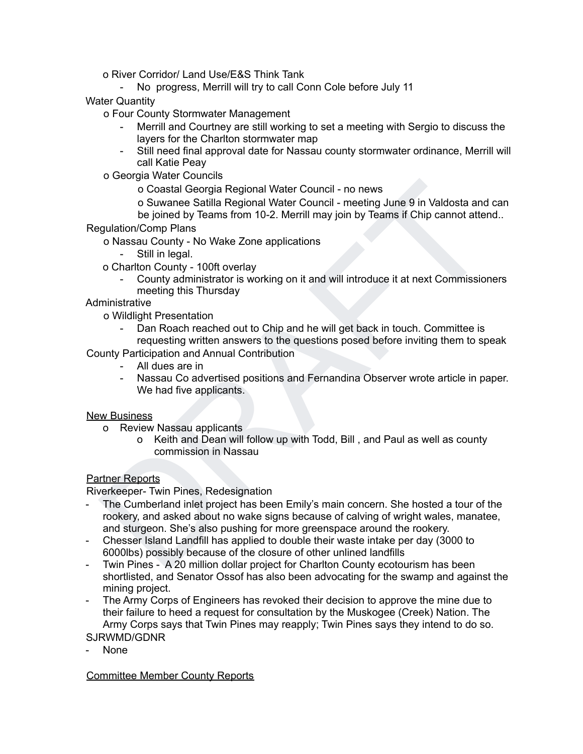o River Corridor/ Land Use/E&S Think Tank

- No progress, Merrill will try to call Conn Cole before July 11

Water Quantity

o Four County Stormwater Management

- Merrill and Courtney are still working to set a meeting with Sergio to discuss the layers for the Charlton stormwater map
- Still need final approval date for Nassau county stormwater ordinance, Merrill will call Katie Peay
- o Georgia Water Councils

o Coastal Georgia Regional Water Council - no news

o Suwanee Satilla Regional Water Council - meeting June 9 in Valdosta and can be joined by Teams from 10-2. Merrill may join by Teams if Chip cannot attend..

Regulation/Comp Plans

o Nassau County - No Wake Zone applications

- Still in legal.
- o Charlton County 100ft overlay
	- County administrator is working on it and will introduce it at next Commissioners meeting this Thursday

### **Administrative**

o Wildlight Presentation

- Dan Roach reached out to Chip and he will get back in touch. Committee is requesting written answers to the questions posed before inviting them to speak

County Participation and Annual Contribution

- All dues are in
- Nassau Co advertised positions and Fernandina Observer wrote article in paper. We had five applicants.

#### New Business

- o Review Nassau applicants
	- o Keith and Dean will follow up with Todd, Bill , and Paul as well as county commission in Nassau

### Partner Reports

Riverkeeper- Twin Pines, Redesignation

- Constal Georgia Regional Water Council no news<br>
or Coastal Georgia Regional Water Council meeting June 9 in Valdosta and can<br>
or Sussau County No Wake Zone applications<br>
or Nassau County No Wake Zone applications<br> - The Cumberland inlet project has been Emily's main concern. She hosted a tour of the rookery, and asked about no wake signs because of calving of wright wales, manatee, and sturgeon. She's also pushing for more greenspace around the rookery.
- Chesser Island Landfill has applied to double their waste intake per day (3000 to 6000lbs) possibly because of the closure of other unlined landfills
- Twin Pines A 20 million dollar project for Charlton County ecotourism has been shortlisted, and Senator Ossof has also been advocating for the swamp and against the mining project.
- The Army Corps of Engineers has revoked their decision to approve the mine due to their failure to heed a request for consultation by the Muskogee (Creek) Nation. The Army Corps says that Twin Pines may reapply; Twin Pines says they intend to do so.

SJRWMD/GDNR

- None

Committee Member County Reports